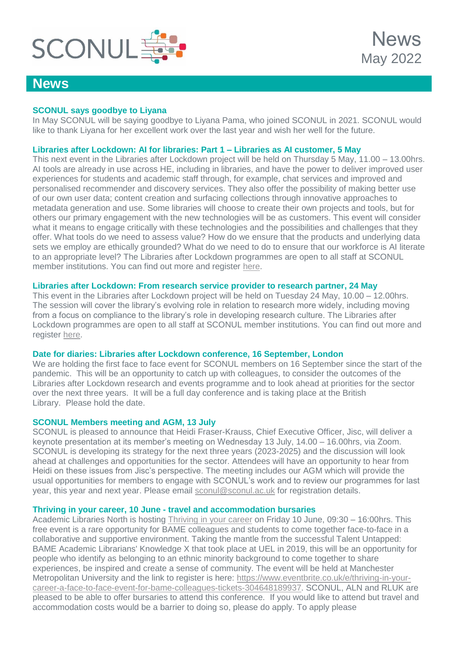

# **News**

## **SCONUL says goodbye to Liyana**

In May SCONUL will be saying goodbye to Liyana Pama, who joined SCONUL in 2021. SCONUL would like to thank Liyana for her excellent work over the last year and wish her well for the future.

## **Libraries after Lockdown: AI for libraries: Part 1 – Libraries as AI customer, 5 May**

This next event in the Libraries after Lockdown project will be held on Thursday 5 May, 11.00 – 13.00hrs. AI tools are already in use across HE, including in libraries, and have the power to deliver improved user experiences for students and academic staff through, for example, chat services and improved and personalised recommender and discovery services. They also offer the possibility of making better use of our own user data; content creation and surfacing collections through innovative approaches to metadata generation and use. Some libraries will choose to create their own projects and tools, but for others our primary engagement with the new technologies will be as customers. This event will consider what it means to engage critically with these technologies and the possibilities and challenges that they offer. What tools do we need to assess value? How do we ensure that the products and underlying data sets we employ are ethically grounded? What do we need to do to ensure that our workforce is AI literate to an appropriate level? The Libraries after Lockdown programmes are open to all staff at SCONUL member institutions. You can find out more and register [here.](https://www.sconul.ac.uk/page/embracing-disruption)

## **Libraries after Lockdown: From research service provider to research partner, 24 May**

This event in the Libraries after Lockdown project will be held on Tuesday 24 May, 10.00 – 12.00hrs. The session will cover the library's evolving role in relation to research more widely, including moving from a focus on compliance to the library's role in developing research culture. The Libraries after Lockdown programmes are open to all staff at SCONUL member institutions. You can find out more and register [here.](https://www.sconul.ac.uk/page/from-adaptive-practice-to-service-redesign#events)

## **Date for diaries: Libraries after Lockdown conference, 16 September, London**

We are holding the first face to face event for SCONUL members on 16 September since the start of the pandemic. This will be an opportunity to catch up with colleagues, to consider the outcomes of the Libraries after Lockdown research and events programme and to look ahead at priorities for the sector over the next three years. It will be a full day conference and is taking place at the British Library. Please hold the date.

## **SCONUL Members meeting and AGM, 13 July**

SCONUL is pleased to announce that Heidi Fraser-Krauss, Chief Executive Officer, Jisc, will deliver a keynote presentation at its member's meeting on Wednesday 13 July, 14.00 – 16.00hrs, via Zoom. SCONUL is developing its strategy for the next three years (2023-2025) and the discussion will look ahead at challenges and opportunities for the sector. Attendees will have an opportunity to hear from Heidi on these issues from Jisc's perspective. The meeting includes our AGM which will provide the usual opportunities for members to engage with SCONUL's work and to review our programmes for last year, this year and next year. Please email [sconul@sconul.ac.uk](mailto:sconul@sconul.ac.uk?subject=SCONUL%20Members%20meeting%20and%20AGM,%2013%20July) for registration details.

## **Thriving in your career, 10 June - travel and accommodation bursaries**

Academic Libraries North is hosting [Thriving in your career](https://www.academiclibrariesnorth.ac.uk/thriving-your-career-free-face-face-event-bame-colleagues-and-students) on Friday 10 June, 09:30 – 16:00hrs. This free event is a rare opportunity for BAME colleagues and students to come together face-to-face in a collaborative and supportive environment. Taking the mantle from the successful Talent Untapped: BAME Academic Librarians' Knowledge X that took place at UEL in 2019, this will be an opportunity for people who identify as belonging to an ethnic minority background to come together to share experiences, be inspired and create a sense of community. The event will be held at Manchester Metropolitan University and the link to register is here: [https://www.eventbrite.co.uk/e/thriving-in-your](https://www.eventbrite.co.uk/e/thriving-in-your-career-a-face-to-face-event-for-bame-colleagues-tickets-304648189937)[career-a-face-to-face-event-for-bame-colleagues-tickets-304648189937.](https://www.eventbrite.co.uk/e/thriving-in-your-career-a-face-to-face-event-for-bame-colleagues-tickets-304648189937) SCONUL, ALN and RLUK are pleased to be able to offer bursaries to attend this conference. If you would like to attend but travel and accommodation costs would be a barrier to doing so, please do apply. To apply please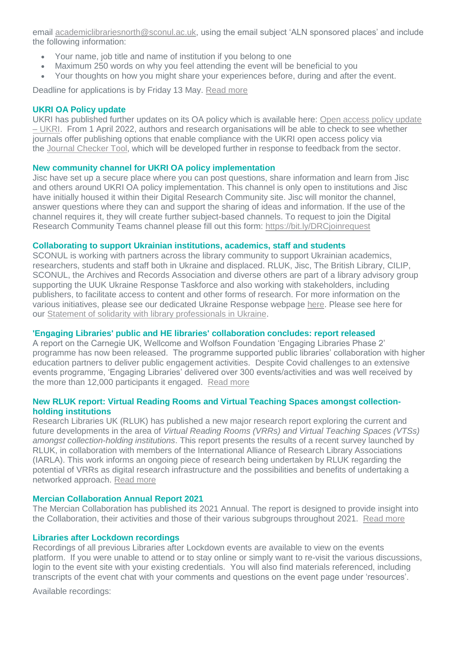email [academiclibrariesnorth@sconul.ac.uk,](mailto:academiclibrariesnorth@sconul.ac.uk?subject=ALN%20sponsored%20places) using the email subject 'ALN sponsored places' and include the following information:

- Your name, job title and name of institution if you belong to one
- Maximum 250 words on why you feel attending the event will be beneficial to you
- Your thoughts on how you might share your experiences before, during and after the event.

Deadline for applications is by Friday 13 May. [Read more](https://www.sconul.ac.uk/news/thriving-in-your-career-10-june-2022-travel-and-accommodation-bursaries)

#### **UKRI OA Policy update**

UKRI has published further updates on its OA policy which is available here: [Open access policy update](https://www.ukri.org/news/open-access-policy-update/)  – [UKRI.](https://www.ukri.org/news/open-access-policy-update/) From 1 April 2022, authors and research organisations will be able to check to see whether journals offer publishing options that enable compliance with the UKRI open access policy via the [Journal Checker Tool,](https://journalcheckertool.org/) which will be developed further in response to feedback from the sector.

#### **New community channel for UKRI OA policy implementation**

Jisc have set up a secure place where you can post questions, share information and learn from Jisc and others around UKRI OA policy implementation. This channel is only open to institutions and Jisc have initially housed it within their Digital Research Community site. Jisc will monitor the channel, answer questions where they can and support the sharing of ideas and information. If the use of the channel requires it, they will create further subject-based channels. To request to join the Digital Research Community Teams channel please fill out this form:<https://bit.ly/DRCjoinrequest>

#### **Collaborating to support Ukrainian institutions, academics, staff and students**

SCONUL is working with partners across the library community to support Ukrainian academics, researchers, students and staff both in Ukraine and displaced. RLUK, Jisc, The British Library, CILIP, SCONUL, the Archives and Records Association and diverse others are part of a library advisory group supporting the UUK Ukraine Response Taskforce and also working with stakeholders, including publishers, to facilitate access to content and other forms of research. For more information on the various initiatives, please see our dedicated Ukraine Response webpage [here.](https://www.sconul.ac.uk/page/supporting-ukrainian-universities-academics-staff-and-students) Please see here for our [Statement of solidarity with library professionals in Ukraine.](https://www.sconul.ac.uk/news/statement-of-solidarity-with-library-professionals-in-ukraine)

## **'Engaging Libraries' public and HE libraries' collaboration concludes: report released**

A report on the Carnegie UK, Wellcome and Wolfson Foundation 'Engaging Libraries Phase 2' programme has now been released. The programme supported public libraries' collaboration with higher education partners to deliver public engagement activities. Despite Covid challenges to an extensive events programme, 'Engaging Libraries' delivered over 300 events/activities and was well received by the more than 12,000 participants it engaged. [Read more](https://www.sconul.ac.uk/news/engaging-libraries-public-and-he-libraries-collaboration-concludes-report-released)

#### **New RLUK report: Virtual Reading Rooms and Virtual Teaching Spaces amongst collectionholding institutions**

Research Libraries UK (RLUK) has published a new major research report exploring the current and future developments in the area of *Virtual Reading Rooms (VRRs) and Virtual Teaching Spaces (VTSs) amongst collection-holding institutions*. This report presents the results of a recent survey launched by RLUK, in collaboration with members of the International Alliance of Research Library Associations (IARLA). This work informs an ongoing piece of research being undertaken by RLUK regarding the potential of VRRs as digital research infrastructure and the possibilities and benefits of undertaking a networked approach. [Read more](https://www.rluk.ac.uk/rluk-vrr-vts-report2/)

#### **Mercian Collaboration Annual Report 2021**

The Mercian Collaboration has published its 2021 Annual. The report is designed to provide insight into the Collaboration, their activities and those of their various subgroups throughout 2021. [Read more](https://merciancollaboration.org.uk/sites/default/files/publications/Annual%20Report%202021-FINAL.pdf)

#### **Libraries after Lockdown recordings**

Recordings of all previous Libraries after Lockdown events are available to view on the events platform. If you were unable to attend or to stay online or simply want to re-visit the various discussions, login to the event site with your existing credentials. You will also find materials referenced, including transcripts of the event chat with your comments and questions on the event page under 'resources'.

Available recordings: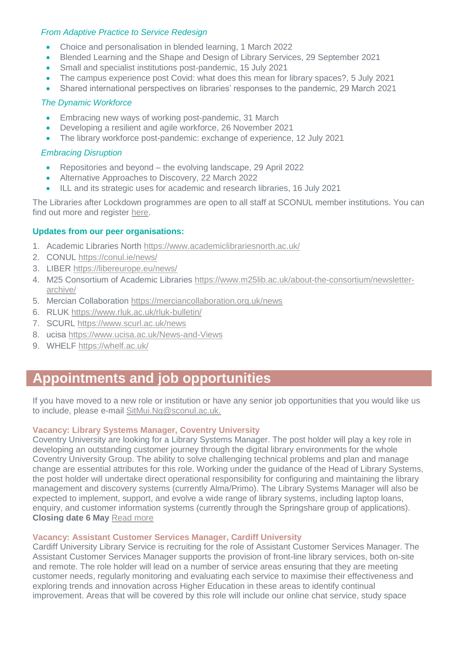## *From Adaptive Practice to Service Redesign*

- Choice and personalisation in blended learning, 1 March 2022
- Blended Learning and the Shape and Design of Library Services, 29 September 2021
- Small and specialist institutions post-pandemic, 15 July 2021
- The campus experience post Covid: what does this mean for library spaces?, 5 July 2021
- Shared international perspectives on libraries' responses to the pandemic, 29 March 2021

## *The Dynamic Workforce*

- **Embracing new ways of working post-pandemic, 31 March**
- Developing a resilient and agile workforce, 26 November 2021
- The library workforce post-pandemic: exchange of experience, 12 July 2021

## *Embracing Disruption*

- Repositories and beyond the evolving landscape, 29 April 2022
- Alternative Approaches to Discovery, 22 March 2022
- ILL and its strategic uses for academic and research libraries, 16 July 2021

The Libraries after Lockdown programmes are open to all staff at SCONUL member institutions. You can find out more and register [here.](https://www.sconul.ac.uk/page/libraries-after-lockdown-a-virtual-collaboration)

## **Updates from our peer organisations:**

- 1. Academic Libraries North<https://www.academiclibrariesnorth.ac.uk/>
- 2. CONUL<https://conul.ie/news/>
- 3. LIBER<https://libereurope.eu/news/>
- 4. M25 Consortium of Academic Libraries [https://www.m25lib.ac.uk/about-the-consortium/newsletter](https://www.m25lib.ac.uk/about-the-consortium/newsletter-archive/)[archive/](https://www.m25lib.ac.uk/about-the-consortium/newsletter-archive/)
- 5. Mercian Collaboration<https://merciancollaboration.org.uk/news>
- 6. RLUK<https://www.rluk.ac.uk/rluk-bulletin/>
- 7. SCURL<https://www.scurl.ac.uk/news>
- 8. ucisa<https://www.ucisa.ac.uk/News-and-Views>
- 9. WHELF<https://whelf.ac.uk/>

# **Appointments and job opportunities**

If you have moved to a new role or institution or have any senior job opportunities that you would like us to include, please e-mail [SitMui.Ng@sconul.ac.uk.](mailto:SitMui.Ng@sconul.ac.uk)

## **Vacancy: Library Systems Manager, Coventry University**

Coventry University are looking for a Library Systems Manager. The post holder will play a key role in developing an outstanding customer journey through the digital library environments for the whole Coventry University Group. The ability to solve challenging technical problems and plan and manage change are essential attributes for this role. Working under the guidance of the Head of Library Systems, the post holder will undertake direct operational responsibility for configuring and maintaining the library management and discovery systems (currently Alma/Primo). The Library Systems Manager will also be expected to implement, support, and evolve a wide range of library systems, including laptop loans, enquiry, and customer information systems (currently through the Springshare group of applications). **Closing date 6 May** [Read more](https://www.coventry.ac.uk/globalassets/media/global/job-descriptions/req009396---library-systems-manager---jd.pdf)

## **Vacancy: Assistant Customer Services Manager, Cardiff University**

Cardiff University Library Service is recruiting for the role of Assistant Customer Services Manager. The Assistant Customer Services Manager supports the provision of front-line library services, both on-site and remote. The role holder will lead on a number of service areas ensuring that they are meeting customer needs, regularly monitoring and evaluating each service to maximise their effectiveness and exploring trends and innovation across Higher Education in these areas to identify continual improvement. Areas that will be covered by this role will include our online chat service, study space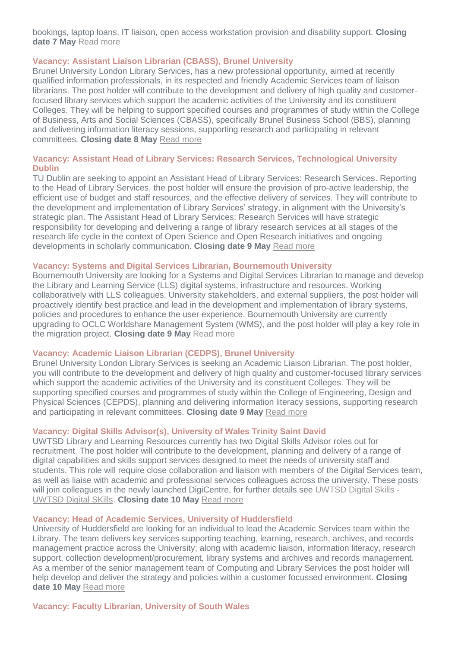bookings, laptop loans, IT liaison, open access workstation provision and disability support. **Closing date 7 May** [Read more](https://krb-sjobs.brassring.com/TGnewUI/Search/home/HomeWithPreLoad?partnerid=30011&siteid=5460&PageType=JobDetails&jobid=1946037#jobDetails=1946037_5460)

#### **Vacancy: Assistant Liaison Librarian (CBASS), Brunel University**

Brunel University London Library Services, has a new professional opportunity, aimed at recently qualified information professionals, in its respected and friendly Academic Services team of liaison librarians. The post holder will contribute to the development and delivery of high quality and customerfocused library services which support the academic activities of the University and its constituent Colleges. They will be helping to support specified courses and programmes of study within the College of Business, Arts and Social Sciences (CBASS), specifically Brunel Business School (BBS), planning and delivering information literacy sessions, supporting research and participating in relevant committees. **Closing date 8 May** [Read more](https://careers.brunel.ac.uk/vacancy/assistant-liaison-librarian-cbass-11984-483654.html)

## **Vacancy: Assistant Head of Library Services: Research Services, Technological University Dublin**

TU Dublin are seeking to appoint an Assistant Head of Library Services: Research Services. Reporting to the Head of Library Services, the post holder will ensure the provision of pro-active leadership, the efficient use of budget and staff resources, and the effective delivery of services. They will contribute to the development and implementation of Library Services' strategy, in alignment with the University's strategic plan. The Assistant Head of Library Services: Research Services will have strategic responsibility for developing and delivering a range of library research services at all stages of the research life cycle in the context of Open Science and Open Research initiatives and ongoing developments in scholarly communication. **Closing date 9 May** [Read more](https://www.tudublin.ie/vacancies/)

## **Vacancy: Systems and Digital Services Librarian, Bournemouth University**

Bournemouth University are looking for a Systems and Digital Services Librarian to manage and develop the Library and Learning Service (LLS) digital systems, infrastructure and resources. Working collaboratively with LLS colleagues, University stakeholders, and external suppliers, the post holder will proactively identify best practice and lead in the development and implementation of library systems, policies and procedures to enhance the user experience. Bournemouth University are currently upgrading to OCLC Worldshare Management System (WMS), and the post holder will play a key role in the migration project. **Closing date 9 May** [Read more](https://www.bournemouth.ac.uk/about/jobs/systems-digital-services-librarian)

#### **Vacancy: Academic Liaison Librarian (CEDPS), Brunel University**

Brunel University London Library Services is seeking an Academic Liaison Librarian. The post holder, you will contribute to the development and delivery of high quality and customer-focused library services which support the academic activities of the University and its constituent Colleges. They will be supporting specified courses and programmes of study within the College of Engineering, Design and Physical Sciences (CEPDS), planning and delivering information literacy sessions, supporting research and participating in relevant committees. **Closing date 9 May** [Read more](https://careers.brunel.ac.uk/vacancy/academic-liaison-librarian-10729-482550.html)

## **Vacancy: Digital Skills Advisor(s), University of Wales Trinity Saint David**

UWTSD Library and Learning Resources currently has two Digital Skills Advisor roles out for recruitment. The post holder will contribute to the development, planning and delivery of a range of digital capabilities and skills support services designed to meet the needs of university staff and students. This role will require close collaboration and liaison with members of the Digital Services team, as well as liaise with academic and professional services colleagues across the university. These posts will join colleagues in the newly launched DigiCentre, for further details see [UWTSD Digital Skills -](https://digitalskills.uwtsd.ac.uk/) [UWTSD Digital SKills.](https://digitalskills.uwtsd.ac.uk/) **Closing date 10 May** [Read more](https://jobs.uwtsd.ac.uk/)

## **Vacancy: Head of Academic Services, University of Huddersfield**

University of Huddersfield are looking for an individual to lead the Academic Services team within the Library. The team delivers key services supporting teaching, learning, research, archives, and records management practice across the University; along with academic liaison, information literacy, research support, collection development/procurement, library systems and archives and records management. As a member of the senior management team of Computing and Library Services the post holder will help develop and deliver the strategy and policies within a customer focussed environment. **Closing date 10 May** [Read more](https://www.hud.ac.uk/hr/jobs/)

**Vacancy: Faculty Librarian, University of South Wales**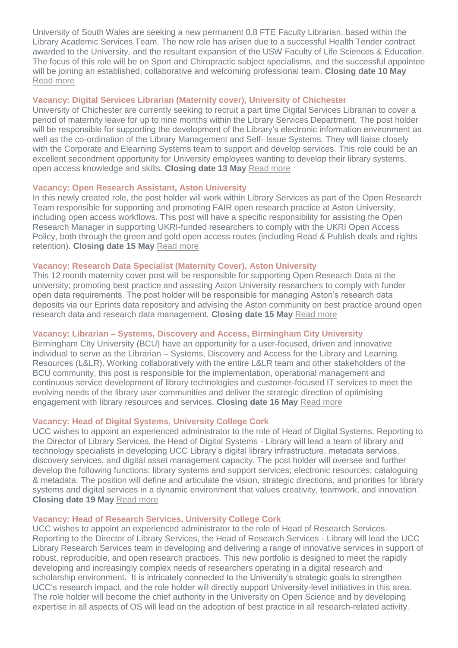University of South Wales are seeking a new permanent 0.8 FTE Faculty Librarian, based within the Library Academic Services Team. The new role has arisen due to a successful Health Tender contract awarded to the University, and the resultant expansion of the USW Faculty of Life Sciences & Education. The focus of this role will be on Sport and Chiropractic subject specialisms, and the successful appointee will be joining an established, collaborative and welcoming professional team. **Closing date 10 May** [Read more](https://ce0091li.webitrent.com/ce0091li_webrecruitment/wrd/run/ETREC107GF.open?VACANCY_ID=847575CdG3&WVID=4597166Rdv&LANG=USA)

## **Vacancy: Digital Services Librarian (Maternity cover), University of Chichester**

University of Chichester are currently seeking to recruit a part time Digital Services Librarian to cover a period of maternity leave for up to nine months within the Library Services Department. The post holder will be responsible for supporting the development of the Library's electronic information environment as well as the co-ordination of the Library Management and Self- Issue Systems. They will liaise closely with the Corporate and Elearning Systems team to support and develop services. This role could be an excellent secondment opportunity for University employees wanting to develop their library systems, open access knowledge and skills. **Closing date 13 May** [Read more](https://www.chi.ac.uk/about-us/working-for-us/)

## **Vacancy: Open Research Assistant, Aston University**

In this newly created role, the post holder will work within Library Services as part of the Open Research Team responsible for supporting and promoting FAIR open research practice at Aston University, including open access workflows. This post will have a specific responsibility for assisting the Open Research Manager in supporting UKRI-funded researchers to comply with the UKRI Open Access Policy, both through the green and gold open access routes (including Read & Publish deals and rights retention). **Closing date 15 May** [Read more](https://jobs.aston.ac.uk/Vacancy.aspx?ref=R220250)

## **Vacancy: Research Data Specialist (Maternity Cover), Aston University**

This 12 month maternity cover post will be responsible for supporting Open Research Data at the university; promoting best practice and assisting Aston University researchers to comply with funder open data requirements. The post holder will be responsible for managing Aston's research data deposits via our Eprints data repository and advising the Aston community on best practice around open research data and research data management. **Closing date 15 May** [Read more](https://jobs.aston.ac.uk/Vacancy.aspx?ref=R220243)

## **Vacancy: Librarian – Systems, Discovery and Access, Birmingham City University**

Birmingham City University (BCU) have an opportunity for a user-focused, driven and innovative individual to serve as the Librarian – Systems, Discovery and Access for the Library and Learning Resources (L&LR). Working collaboratively with the entire L&LR team and other stakeholders of the BCU community, this post is responsible for the implementation, operational management and continuous service development of library technologies and customer-focused IT services to meet the evolving needs of the library user communities and deliver the strategic direction of optimising engagement with library resources and services. **Closing date 16 May** [Read more](https://jobs.bcu.ac.uk/Vacancy.aspx?ref=042022-258)

## **Vacancy: Head of Digital Systems, University College Cork**

UCC wishes to appoint an experienced administrator to the role of Head of Digital Systems. Reporting to the Director of Library Services, the Head of Digital Systems - Library will lead a team of library and technology specialists in developing UCC Library's digital library infrastructure, metadata services, discovery services, and digital asset management capacity. The post holder will oversee and further develop the following functions: library systems and support services; electronic resources; cataloguing & metadata. The position will define and articulate the vision, strategic directions, and priorities for library systems and digital services in a dynamic environment that values creativity, teamwork, and innovation. **Closing date 19 May** [Read more](https://my.corehr.com/pls/uccrecruit/erq_search_package.search_form?p_company=5023&p_internal_external=E)

## **Vacancy: Head of Research Services, University College Cork**

UCC wishes to appoint an experienced administrator to the role of Head of Research Services. Reporting to the Director of Library Services, the Head of Research Services - Library will lead the UCC Library Research Services team in developing and delivering a range of innovative services in support of robust, reproducible, and open research practices. This new portfolio is designed to meet the rapidly developing and increasingly complex needs of researchers operating in a digital research and scholarship environment. It is intricately connected to the University's strategic goals to strengthen UCC's research impact, and the role holder will directly support University-level initiatives in this area. The role holder will become the chief authority in the University on Open Science and by developing expertise in all aspects of OS will lead on the adoption of best practice in all research-related activity.